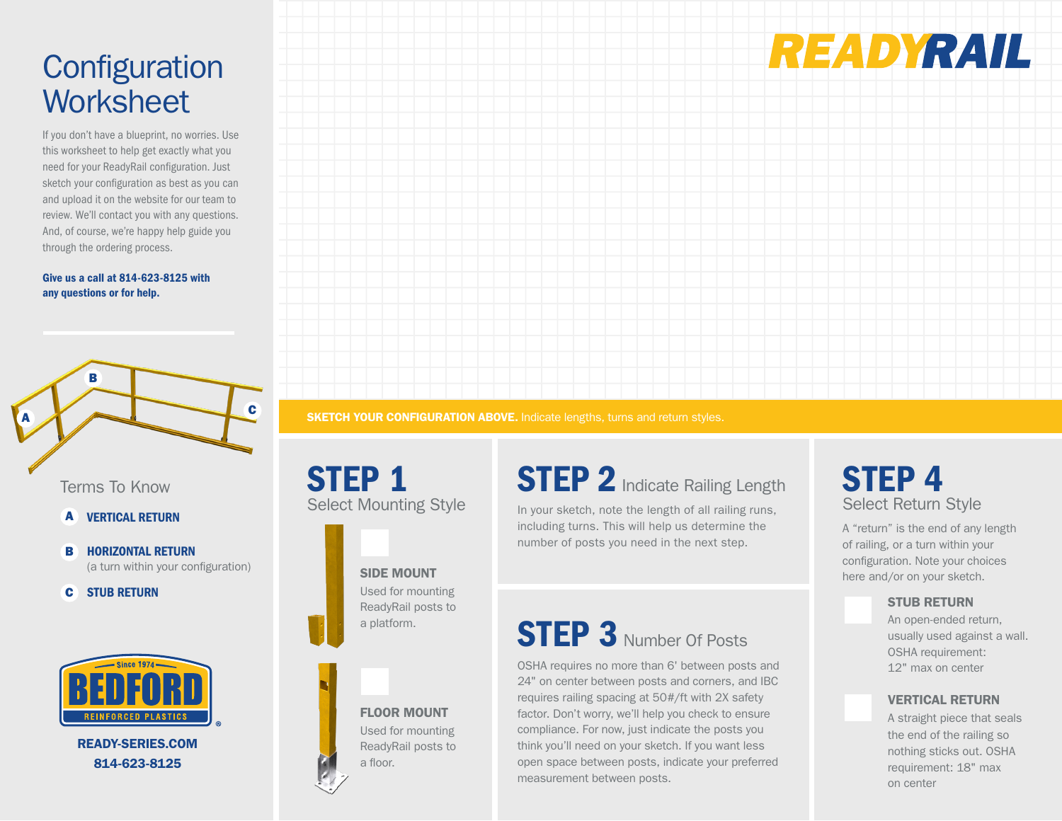# **Configuration Worksheet**

If you don't have a blueprint, no worries. Use this worksheet to help get exactly what you need for your ReadyRail configuration. Just sketch your configuration as best as you can and upload it on the website for our team to review. We'll contact you with any questions. And, of course, we're happy help guide you through the ordering process.

#### Give us a call at 814-623-8125 with any questions or for help.



Terms To Know

- **A VERTICAL RETURN**
- HORIZONTAL RETURN (a turn within your configuration) B
- STUB RETURN C



READY-SERIES.COM 814-623-8125

**SKETCH YOUR CONFIGURATION ABOVE.** Indicate lengths, turns and return styles.

STEP 1 Select Mounting Style



SIDE MOUNT Used for mounting ReadyRail posts to a platform.



Used for mounting ReadyRail posts to a floor.

## **STEP 2** Indicate Railing Length

In your sketch, note the length of all railing runs, including turns. This will help us determine the number of posts you need in the next step.

# **STEP 3** Number Of Posts

OSHA requires no more than 6' between posts and 24" on center between posts and corners, and IBC requires railing spacing at 50#/ft with 2X safety factor. Don't worry, we'll help you check to ensure compliance. For now, just indicate the posts you think you'll need on your sketch. If you want less open space between posts, indicate your preferred measurement between posts.





A "return" is the end of any length of railing, or a turn within your configuration. Note your choices here and/or on your sketch.

### STUB RETURN

An open-ended return, usually used against a wall. OSHA requirement: 12" max on center

### VERTICAL RETURN

A straight piece that seals the end of the railing so nothing sticks out. OSHA requirement: 18" max on center